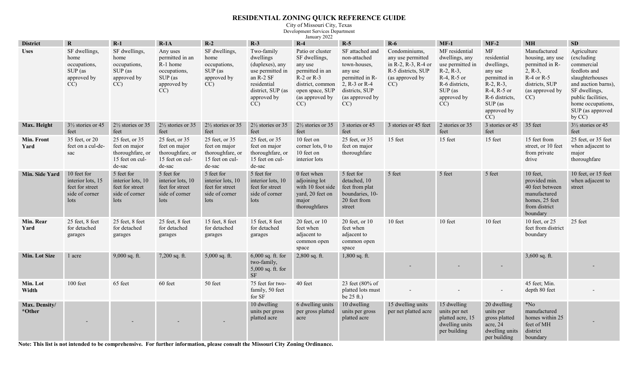## **RESIDENTIAL ZONING QUICK REFERENCE GUIDE**

City of Missouri City, Texas Development Services Department January 2022

| <b>District</b>         | $\bf R$                                                                       | $R-1$                                                                            | $R-1A$                                                                                   | $R-2$                                                                            | $R-3$                                                                                                                                | January 2022<br>$R-4$                                                                                                                                 | $R-5$                                                                                                                                     | $R-6$                                                                                                    | $MF-1$                                                                                                                                     | $MF-2$                                                                                                                                      | <b>MH</b>                                                                                                                 | <b>SD</b>                                                                                                                                                                                   |
|-------------------------|-------------------------------------------------------------------------------|----------------------------------------------------------------------------------|------------------------------------------------------------------------------------------|----------------------------------------------------------------------------------|--------------------------------------------------------------------------------------------------------------------------------------|-------------------------------------------------------------------------------------------------------------------------------------------------------|-------------------------------------------------------------------------------------------------------------------------------------------|----------------------------------------------------------------------------------------------------------|--------------------------------------------------------------------------------------------------------------------------------------------|---------------------------------------------------------------------------------------------------------------------------------------------|---------------------------------------------------------------------------------------------------------------------------|---------------------------------------------------------------------------------------------------------------------------------------------------------------------------------------------|
| <b>Uses</b>             | SF dwellings,<br>home<br>occupations,<br>SUP (as)<br>approved by<br>CC        | SF dwellings,<br>home<br>occupations,<br>SUP (as)<br>approved by<br>CC           | Any uses<br>permitted in an<br>R-1 home<br>occupations,<br>SUP (as)<br>approved by<br>CC | SF dwellings,<br>home<br>occupations,<br>SUP (as)<br>approved by<br>CC           | Two-family<br>dwellings<br>(duplexes), any<br>use permitted in<br>an R-2 SF<br>residential<br>district, SUP (as<br>approved by<br>CC | Patio or cluster<br>SF dwellings,<br>any use<br>permitted in an<br>$R-2$ or $R-3$<br>district, common<br>open space, SUP<br>(as approved by<br>$CC$ ) | SF attached and<br>non-attached<br>town-houses,<br>any use<br>permitted in R-<br>2, R-3 or R-4<br>districts, SUP<br>(as approved by<br>CC | Condominiums,<br>any use permitted<br>in R-2, R-3, R-4 or<br>R-5 districts, SUP<br>(as approved by<br>CC | MF residential<br>dwellings, any<br>use permitted in<br>$R-2, R-3,$<br>$R-4$ , $R-5$ or<br>R-6 districts,<br>SUP (as)<br>approved by<br>CC | MF<br>residential<br>dwellings,<br>any use<br>permitted in<br>$R-2, R-3,$<br>R-4, R-5 or<br>R-6 districts,<br>SUP (as)<br>approved by<br>CC | Manufactured<br>housing, any use<br>permitted in R-<br>$2, R-3,$<br>R-4 or R-5<br>districts, SUP<br>(as approved by<br>CC | Agriculture<br>(excluding<br>commercial<br>feedlots and<br>slaughterhouses<br>and auction barns),<br>SF dwellings,<br>public facilities,<br>home occupations,<br>SUP (as approved<br>by CC) |
| Max. Height             | $3\frac{1}{2}$ stories or 45<br>feet                                          | $2\frac{1}{2}$ stories or 35<br>feet                                             | $2\frac{1}{2}$ stories or 35<br>feet                                                     | $2\frac{1}{2}$ stories or 35<br>feet                                             | $2\frac{1}{2}$ stories or 35<br>feet                                                                                                 | $2\frac{1}{2}$ stories or 35<br>feet                                                                                                                  | 3 stories or 45<br>feet                                                                                                                   | 3 stories or 45 feet                                                                                     | 2 stories or 35<br>feet                                                                                                                    | 3 stories or 45<br>feet                                                                                                                     | 35 feet                                                                                                                   | $3\frac{1}{2}$ stories or 45<br>feet                                                                                                                                                        |
| Min. Front<br>Yard      | 35 feet, or 20<br>feet on a cul-de-<br>sac                                    | 25 feet, or 35<br>feet on major<br>thoroughfare, or<br>15 feet on cul-<br>de-sac | 25 feet, or 35<br>feet on major<br>thoroughfare, or<br>15 feet on cul-<br>de-sac         | 25 feet, or 35<br>feet on major<br>thoroughfare, or<br>15 feet on cul-<br>de-sac | 25 feet, or 35<br>feet on major<br>thoroughfare, or<br>15 feet on cul-<br>de-sac                                                     | 10 feet on<br>corner lots, 0 to<br>10 feet on<br>interior lots                                                                                        | 25 feet, or 35<br>feet on major<br>thoroughfare                                                                                           | 15 feet                                                                                                  | 15 feet                                                                                                                                    | 15 feet                                                                                                                                     | 15 feet from<br>street, or 10 feet<br>from private<br>drive                                                               | 25 feet, or 35 feet<br>when adjacent to<br>major<br>thoroughfare                                                                                                                            |
| Min. Side Yard          | 10 feet for<br>interior lots, 15<br>feet for street<br>side of corner<br>lots | 5 feet for<br>interior lots, 10<br>feet for street<br>side of corner<br>lots     | 5 feet for<br>interior lots, 10<br>feet for street<br>side of corner<br>lots             | 5 feet for<br>interior lots, 10<br>feet for street<br>side of corner<br>lots     | 5 feet for<br>interior lots, 10<br>feet for street<br>side of corner<br>lots                                                         | 0 feet when<br>adjoining lot<br>with 10 foot side<br>yard, 20 feet on<br>major<br>thoroughfares                                                       | 5 feet for<br>detached, 10<br>feet from plat<br>boundaries, 10-<br>20 feet from<br>street                                                 | 5 feet                                                                                                   | 5 feet                                                                                                                                     | 5 feet                                                                                                                                      | $10$ feet,<br>provided min.<br>40 feet between<br>manufactured<br>homes, 25 feet<br>from district<br>boundary             | 10 feet, or 15 feet<br>when adjacent to<br>street                                                                                                                                           |
| Min. Rear<br>Yard       | 25 feet, 8 feet<br>for detached<br>garages                                    | 25 feet, 8 feet<br>for detached<br>garages                                       | 25 feet, 8 feet<br>for detached<br>garages                                               | 15 feet, 8 feet<br>for detached<br>garages                                       | 15 feet, 8 feet<br>for detached<br>garages                                                                                           | 20 feet, or 10<br>feet when<br>adjacent to<br>common open<br>space                                                                                    | 20 feet, or 10<br>feet when<br>adjacent to<br>common open<br>space                                                                        | 10 feet                                                                                                  | 10 feet                                                                                                                                    | 10 feet                                                                                                                                     | 10 feet, or 25<br>feet from district<br>boundary                                                                          | 25 feet                                                                                                                                                                                     |
| <b>Min. Lot Size</b>    | 1 acre                                                                        | $9,000$ sq. ft.                                                                  | $7,200$ sq. ft.                                                                          | $5,000$ sq. ft.                                                                  | $6,000$ sq. ft. for<br>two-family,<br>$5,000$ sq. ft. for<br><b>SF</b>                                                               | 2,800 sq. ft.                                                                                                                                         | $1,800$ sq. ft.                                                                                                                           |                                                                                                          |                                                                                                                                            |                                                                                                                                             | $3,600$ sq. ft.                                                                                                           |                                                                                                                                                                                             |
| Min. Lot<br>Width       | 100 feet                                                                      | 65 feet                                                                          | 60 feet                                                                                  | 50 feet                                                                          | 75 feet for two-<br>family, 50 feet<br>for SF                                                                                        | 40 feet                                                                                                                                               | 23 feet (80% of<br>platted lots must<br>be $25$ ft.)                                                                                      |                                                                                                          |                                                                                                                                            | $\overline{a}$                                                                                                                              | 45 feet; Min.<br>depth 80 feet                                                                                            |                                                                                                                                                                                             |
| Max. Density/<br>*Other |                                                                               |                                                                                  |                                                                                          |                                                                                  | 10 dwelling<br>units per gross<br>platted acre                                                                                       | 6 dwelling units<br>per gross platted<br>acre                                                                                                         | 10 dwelling<br>units per gross<br>platted acre                                                                                            | 15 dwelling units<br>per net platted acre                                                                | 15 dwelling<br>units per net<br>platted acre, 15<br>dwelling units<br>per building                                                         | 20 dwelling<br>units per<br>gross platted<br>acre, 24<br>dwelling units<br>per building                                                     | N <sub>o</sub><br>manufactured<br>homes within 25<br>feet of MH<br>district<br>boundary                                   |                                                                                                                                                                                             |

**Note: This list is not intended to be comprehensive. For further information, please consult the Missouri City Zoning Ordinance.**